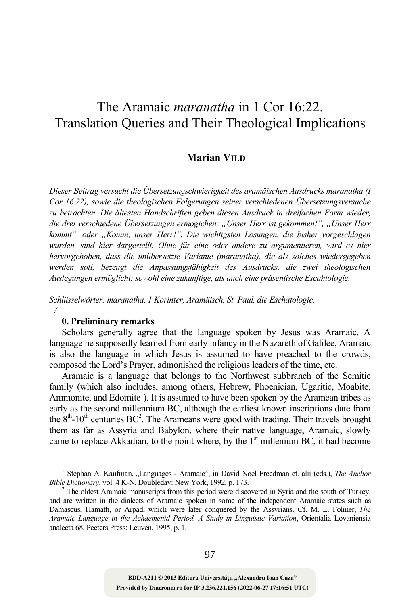# The Aramaic *maranatha* in 1 Cor 16:22. Translation Queries and Their Theological Implications

# **Marian VILD**

*Dieser Beitrag versucht die Übersetzungschwierigkeit des aramäischen Ausdrucks maranatha (I Cor 16.22), sowie die theologischen Folgerungen seiner verschiedenen Übersetzungsversuche zu betrachten. Die ältesten Handschriften geben diesen Ausdruck in dreifachen Form wieder, die drei verschiedene Übersetzungen ermögichen: "Unser Herr ist gekommen!", "Unser Herr kommt", oder "Komm, unser Herr!". Die wichtigsten Lösungen, die bisher vorgeschlagen wurden, sind hier dargestellt. Ohne für eine oder andere zu argumentieren, wird es hier hervorgehoben, dass die unübersetzte Variante (maranatha), die als solches wiedergegeben werden soll, bezeugt die Anpassungsfähigkeit des Ausdrucks, die zwei theologischen Auslegungen ermöglicht: sowohl eine zukunftige, als auch eine präsentische Escahtologie.* 

*Schlüsselwörter: maranatha, 1 Korinter, Aramäisch, St. Paul, die Eschatologie. /* 

# **0. Preliminary remarks**

Scholars generally agree that the language spoken by Jesus was Aramaic. A language he supposedly learned from early infancy in the Nazareth of Galilee, Aramaic is also the language in which Jesus is assumed to have preached to the crowds, composed the Lord's Prayer, admonished the religious leaders of the time, etc.

Aramaic is a language that belongs to the Northwest subbranch of the Semitic family (which also includes, among others, Hebrew, Phoenician, Ugaritic, Moabite, Ammonite, and Edomite<sup>1</sup>). It is assumed to have been spoken by the Aramean tribes as early as the second millennium BC, although the earliest known inscriptions date from the  $8<sup>th</sup>$ -10<sup>th</sup> centuries BC<sup>2</sup>. The Arameans were good with trading. Their travels brought them as far as Assyria and Babylon, where their native language, Aramaic, slowly came to replace Akkadian, to the point where, by the  $1<sup>st</sup>$  millenium BC, it had become

**Provided by Diacronia.ro for IP 3.236.221.156 (2022-06-27 17:16:51 UTC)** BDD-A211 © 2013 Editura Universității "Alexandru Ioan Cuza"

 $\frac{1}{1}$ <sup>1</sup> Stephan A. Kaufman, "Languages - Aramaic", in David Noel Freedman et. alii (eds.), *The Anchor Bible Dictionary*, vol. 4 K-N, Doubleday: New York, 1992, p. 173. 2

 $2^2$  The oldest Aramaic manuscripts from this period were discovered in Syria and the south of Turkey, and are written in the dialects of Aramaic spoken in some of the independent Aramaic states such as Damascus, Hamath, or Arpad, which were later conquered by the Assyrians. Cf. M. L. Folmer, *The Aramaic Language in the Achaemenid Period. A Study in Linguistic Variation*, Orientalia Lovaniensia analecta 68, Peeters Press: Leuven, 1995, p. 1.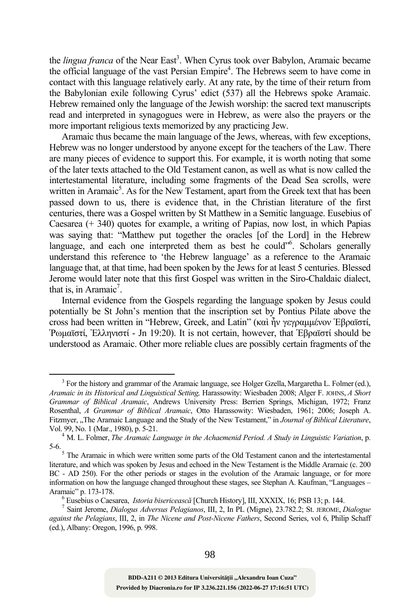the *lingua franca* of the Near East<sup>3</sup>. When Cyrus took over Babylon, Aramaic became the official language of the vast Persian Empire<sup>4</sup>. The Hebrews seem to have come in contact with this language relatively early. At any rate, by the time of their return from the Babylonian exile following Cyrus' edict (537) all the Hebrews spoke Aramaic. Hebrew remained only the language of the Jewish worship: the sacred text manuscripts read and interpreted in synagogues were in Hebrew, as were also the prayers or the more important religious texts memorized by any practicing Jew.

Aramaic thus became the main language of the Jews, whereas, with few exceptions, Hebrew was no longer understood by anyone except for the teachers of the Law. There are many pieces of evidence to support this. For example, it is worth noting that some of the later texts attached to the Old Testament canon, as well as what is now called the intertestamental literature, including some fragments of the Dead Sea scrolls, were written in Aramaic<sup>5</sup>. As for the New Testament, apart from the Greek text that has been passed down to us, there is evidence that, in the Christian literature of the first centuries, there was a Gospel written by St Matthew in a Semitic language. Eusebius of Caesarea (+ 340) quotes for example, a writing of Papias, now lost, in which Papias was saying that: "Matthew put together the oracles [of the Lord] in the Hebrew language, and each one interpreted them as best he could"<sup>6</sup>. Scholars generally understand this reference to 'the Hebrew language' as a reference to the Aramaic language that, at that time, had been spoken by the Jews for at least 5 centuries. Blessed Jerome would later note that this first Gospel was written in the Siro-Chaldaic dialect, that is, in Aramaic<sup>7</sup>.

Internal evidence from the Gospels regarding the language spoken by Jesus could potentially be St John's mention that the inscription set by Pontius Pilate above the cross had been written in "Hebrew, Greek, and Latin" (καὶ ἦν γεγραμμένον Ἑβραϊστί, Ῥωμαϊστί, Ἑλληνιστί - Jn 19:20). It is not certain, however, that Ἑβραϊστί should be understood as Aramaic. Other more reliable clues are possibly certain fragments of the

<sup>&</sup>lt;sup>3</sup> For the history and grammar of the Aramaic language, see Holger Gzella, Margaretha L. Folmer (ed.), *Aramaic in its Historical and Linguistical Setting,* Harassowity: Wiesbaden 2008; Alger F. JOHNS, *A Short Grammar of Biblical Aramaic*, Andrews University Press: Berrien Springs, Michigan, 1972; Franz Rosenthal, *A Grammar of Biblical Aramaic*, Otto Harassowity: Wiesbaden, 1961; 2006; Joseph A. Fitzmyer, "The Aramaic Language and the Study of the New Testament," in *Journal of Biblical Literature*, Vol. 99, No. 1 (Mar., 1980), p. 5-21. 4

M. L. Folmer, *The Aramaic Language in the Achaemenid Period. A Study in Linguistic Variation*, p. 5-6. 5 The Aramaic in which were written some parts of the Old Testament canon and the intertestamental

literature, and which was spoken by Jesus and echoed in the New Testament is the Middle Aramaic (c. 200 BC - AD 250). For the other periods or stages in the evolution of the Aramaic language, or for more information on how the language changed throughout these stages, see Stephan A. Kaufman, "Languages – Aramaic" p. 173-178. 6

Eusebius o Caesarea, *Istoria bisericeasc<sup>ă</sup>* [Church History], III, XXXIX, 16; PSB 13; p. 144. 7

Saint Jerome, *Dialogus Adversus Pelagianos*, III, 2, In PL (Migne), 23.782.2; St. JEROME, *Dialogue against the Pelagians*, III, 2, in *The Nicene and Post-Nicene Fathers*, Second Series, vol 6, Philip Schaff (ed.), Albany: Oregon, 1996, p. 998.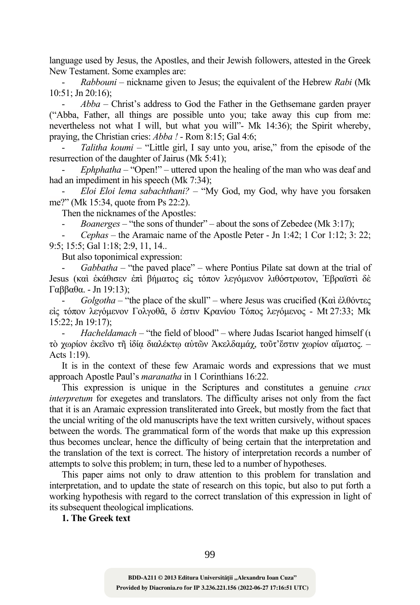language used by Jesus, the Apostles, and their Jewish followers, attested in the Greek New Testament. Some examples are:

- *Rabbouni* – nickname given to Jesus; the equivalent of the Hebrew *Rabi* (Mk 10:51; Jn 20:16);

- *Abba* – Christ's address to God the Father in the Gethsemane garden prayer ("Abba, Father, all things are possible unto you; take away this cup from me: nevertheless not what I will, but what you will"- Mk 14:36); the Spirit whereby, praying, the Christian cries: *Abba !* - Rom 8:15; Gal 4:6;

Talitha koumi – "Little girl, I say unto you, arise," from the episode of the resurrection of the daughter of Jairus (Mk 5:41);

*Ephphatha* – "Open!" – uttered upon the healing of the man who was deaf and had an impediment in his speech (Mk 7:34);

- *Eloi Eloi lema sabachthani? –* "My God, my God, why have you forsaken me?" (Mk 15:34, quote from Ps 22:2).

Then the nicknames of the Apostles:

*Boanerges* – "the sons of thunder" – about the sons of Zebedee (Mk 3:17);

- *Cephas* – the Aramaic name of the Apostle Peter - Jn 1:42; 1 Cor 1:12; 3: 22; 9:5; 15:5; Gal 1:18; 2:9, 11, 14..

But also toponimical expression:

- *Gabbatha* – "the paved place" – where Pontius Pilate sat down at the trial of Jesus (καὶ ἐκάθισεν ἐπὶ βήματος εἰς τόπον λεγόμενον λιθόστρωτον, Ἑβραϊστὶ δὲ Γαββαθα. - Jn 19:13);

- *Golgotha* – "the place of the skull" – where Jesus was crucified (Καὶ ἐλθόντες εἰς τόπον λεγόμενον Γολγοθᾶ, ὅ ἐστιν Κρανίου Τόπος λεγόμενος - Mt 27:33; Mk 15:22; Jn 19:17);

- *Hacheldamach* – "the field of blood" – where Judas Iscariot hanged himself (ι τὸ χωρίον ἐκεῖνο τῆ ἰδίᾳ διαλέκτῳ αὐτῶν Ἁκελδαμάχ, τοῦτ'ἔστιν χωρίον αἵματος. – Acts 1:19).

It is in the context of these few Aramaic words and expressions that we must approach Apostle Paul's *maranatha* in 1 Corinthians 16:22.

This expression is unique in the Scriptures and constitutes a genuine *crux interpretum* for exegetes and translators. The difficulty arises not only from the fact that it is an Aramaic expression transliterated into Greek, but mostly from the fact that the uncial writing of the old manuscripts have the text written cursively, without spaces between the words. The grammatical form of the words that make up this expression thus becomes unclear, hence the difficulty of being certain that the interpretation and the translation of the text is correct. The history of interpretation records a number of attempts to solve this problem; in turn, these led to a number of hypotheses.

This paper aims not only to draw attention to this problem for translation and interpretation, and to update the state of research on this topic, but also to put forth a working hypothesis with regard to the correct translation of this expression in light of its subsequent theological implications.

**1. The Greek text**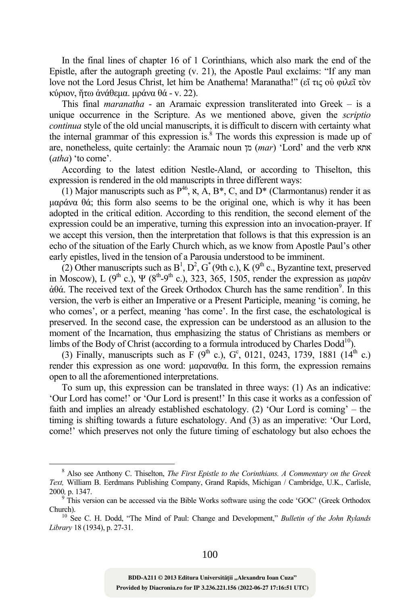In the final lines of chapter 16 of 1 Corinthians, which also mark the end of the Epistle, after the autograph greeting (v. 21), the Apostle Paul exclaims: "If any man love not the Lord Jesus Christ, let him be Anathema! Maranatha!" (εἴ τις οὐ φιλεῖ τὸν κύριον, ἤτω ἀνάθεμα. μράνα θά - v. 22).

This final *maranatha* - an Aramaic expression transliterated into Greek – is a unique occurrence in the Scripture. As we mentioned above, given the *scriptio continua* style of the old uncial manuscripts, it is difficult to discern with certainty what the internal grammar of this expression is.<sup>8</sup> The words this expression is made up of are, nonetheless, quite certainly: the Aramaic noun מן) *mar*) 'Lord' and the verb אתא (*atha*) 'to come'.

According to the latest edition Nestle-Aland, or according to Thiselton, this expression is rendered in the old manuscripts in three different ways:

(1) Major manuscripts such as  $P^{46}$ ,  $\kappa$ ,  $A$ ,  $B^*$ , C, and  $D^*$  (Clarmontanus) render it as μαράνα θά; this form also seems to be the original one, which is why it has been adopted in the critical edition. According to this rendition, the second element of the expression could be an imperative, turning this expression into an invocation-prayer. If we accept this version, then the interpretation that follows is that this expression is an echo of the situation of the Early Church which, as we know from Apostle Paul's other early epistles, lived in the tension of a Parousia understood to be imminent.

(2) Other manuscripts such as  $B^1$ ,  $D^2$ ,  $G^*(9th c.)$ , K ( $9^{th}$  c., Byzantine text, preserved in Moscow), L  $(9^{th}$  c.),  $\Psi$   $(8^{th}$ - $9^{th}$  c.), 323, 365, 1505, render the expression as μαρὰν  $\dot{\alpha}$ θά. The received text of the Greek Orthodox Church has the same rendition<sup>9</sup>. In this version, the verb is either an Imperative or a Present Participle, meaning 'is coming, he who comes', or a perfect, meaning 'has come'. In the first case, the eschatological is preserved. In the second case, the expression can be understood as an allusion to the moment of the Incarnation, thus emphasizing the status of Christians as members or limbs of the Body of Christ (according to a formula introduced by Charles  $Dodd<sup>10</sup>$ ).

(3) Finally, manuscripts such as F (9<sup>th</sup> c.), G<sup>c</sup>, 0121, 0243, 1739, 1881 (14<sup>th</sup> c.) render this expression as one word: μαραναθα. In this form, the expression remains open to all the aforementioned interpretations.

To sum up, this expression can be translated in three ways: (1) As an indicative: 'Our Lord has come!' or 'Our Lord is present!' In this case it works as a confession of faith and implies an already established eschatology. (2) 'Our Lord is coming' – the timing is shifting towards a future eschatology. And (3) as an imperative: 'Our Lord, come!' which preserves not only the future timing of eschatology but also echoes the

 $\frac{1}{8}$  Also see Anthony C. Thiselton, *The First Epistle to the Corinthians. A Commentary on the Greek Text,* William B. Eerdmans Publishing Company, Grand Rapids, Michigan / Cambridge, U.K., Carlisle, 2000*,* p. 1347.

 $9 \text{ This version can be accessed via the Bible Works software using the code 'GOC' (Greek Orthodox).}$ 

Church). 10 See C. H. Dodd, "The Mind of Paul: Change and Development," *Bulletin of the John Rylands Library* 18 (1934), p. 27-31.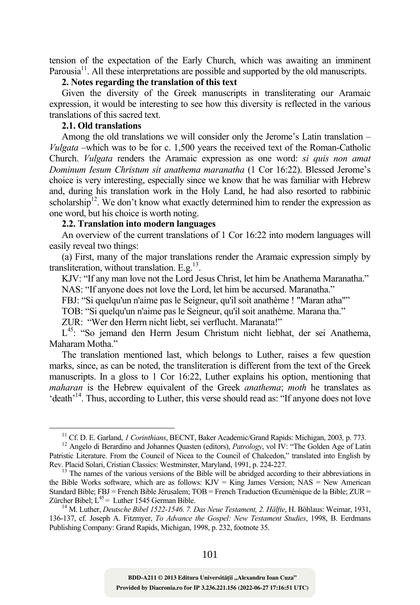tension of the expectation of the Early Church, which was awaiting an imminent Parousia<sup>11</sup>. All these interpretations are possible and supported by the old manuscripts.

# **2. Notes regarding the translation of this text**

Given the diversity of the Greek manuscripts in transliterating our Aramaic expression, it would be interesting to see how this diversity is reflected in the various translations of this sacred text.

# **2.1. Old translations**

Among the old translations we will consider only the Jerome's Latin translation – *Vulgata* –which was to be for c. 1,500 years the received text of the Roman-Catholic Church. *Vulgata* renders the Aramaic expression as one word: *si quis non amat Dominum Iesum Christum sit anathema maranatha* (1 Cor 16:22). Blessed Jerome's choice is very interesting, especially since we know that he was familiar with Hebrew and, during his translation work in the Holy Land, he had also resorted to rabbinic scholarship<sup>12</sup>. We don't know what exactly determined him to render the expression as one word, but his choice is worth noting.

# **2.2. Translation into modern languages**

An overview of the current translations of 1 Cor 16:22 into modern languages will easily reveal two things:

(a) First, many of the major translations render the Aramaic expression simply by transliteration, without translation. E.g.<sup>13</sup>.

KJV: "If any man love not the Lord Jesus Christ, let him be Anathema Maranatha."

NAS: "If anyone does not love the Lord, let him be accursed. Maranatha."

FBJ: "Si quelqu'un n'aime pas le Seigneur, qu'il soit anathème ! "Maran atha""

TOB: "Si quelqu'un n'aime pas le Seigneur, qu'il soit anathème. Marana tha."

ZUR: "Wer den Herrn nicht liebt, sei verflucht. Maranata!"

L<sup>45</sup>: "So jemand den Herrn Jesum Christum nicht liebhat, der sei Anathema, Maharam Motha<sup>"</sup>

The translation mentioned last, which belongs to Luther, raises a few question marks, since, as can be noted, the transliteration is different from the text of the Greek manuscripts. In a gloss to 1 Cor 16:22, Luther explains his option, mentioning that *maharan* is the Hebrew equivalent of the Greek *anathema*; *moth* he translates as 'death'14. Thus, according to Luther, this verse should read as: "If anyone does not love

<sup>&</sup>lt;sup>11</sup> Cf. D. E. Garland, *1 Corinthians*, BECNT, Baker Academic/Grand Rapids: Michigan, 2003, p. 773.<br><sup>12</sup> Angelo di Berardino and Johannes Quasten (editors), *Patrology*, vol IV: "The Golden Age of Latin Patristic Literature. From the Council of Nicea to the Council of Chalcedon," translated into English by Rev. Placid Solari, Cristian Classics: Westminster, Maryland, 1991, p. 224-227.<br><sup>13</sup> The names of the various versions of the Bible will be abridged according to their abbreviations in

the Bible Works software, which are as follows:  $KJV = King$  James Version;  $NAS = New$  American Standard Bible; FBJ = French Bible Jérusalem; TOB = French Traduction Œcuménique de la Bible; ZUR = Zürcher Bibel; L<sup>45</sup> = Luther 1545 German Bible.

<sup>&</sup>lt;sup>14</sup> M. Luther, *Deutsche Bibel 1522-1546. 7. Das Neue Testament, 2. Hälfte*, H. Böhlaus: Weimar, 1931, 136-137, cf. Joseph A. Fitzmyer, *To Advance the Gospel: New Testament Studies*, 1998, B. Eerdmans Publishing Company: Grand Rapids, Michigan, 1998, p. 232, footnote 35.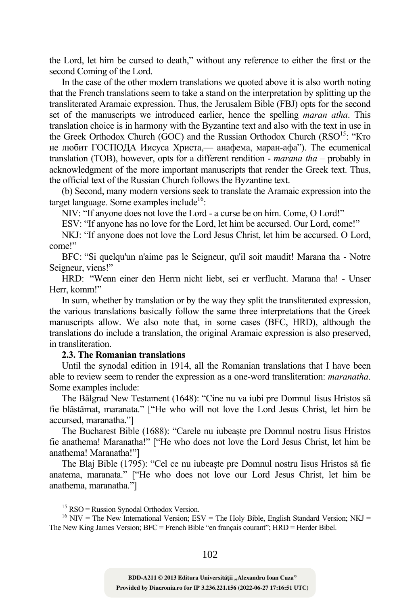the Lord, let him be cursed to death," without any reference to either the first or the second Coming of the Lord.

In the case of the other modern translations we quoted above it is also worth noting that the French translations seem to take a stand on the interpretation by splitting up the transliterated Aramaic expression. Thus, the Jerusalem Bible (FBJ) opts for the second set of the manuscripts we introduced earlier, hence the spelling *maran atha*. This translation choice is in harmony with the Byzantine text and also with the text in use in the Greek Orthodox Church (GOC) and the Russian Orthodox Church (RSO<sup>15</sup>: "Кто не любит ГОСПОДА Иисуса Христа,— анафема, маран-афа"). The ecumenical translation (TOB), however, opts for a different rendition - *marana tha* – probably in acknowledgment of the more important manuscripts that render the Greek text. Thus, the official text of the Russian Church follows the Byzantine text.

(b) Second, many modern versions seek to translate the Aramaic expression into the target language. Some examples include<sup>16</sup>:

NIV: "If anyone does not love the Lord - a curse be on him. Come, O Lord!"

ESV: "If anyone has no love for the Lord, let him be accursed. Our Lord, come!"

NKJ: "If anyone does not love the Lord Jesus Christ, let him be accursed. O Lord, come!"

BFC: "Si quelqu'un n'aime pas le Seigneur, qu'il soit maudit! Marana tha - Notre Seigneur, viens!"

HRD: "Wenn einer den Herrn nicht liebt, sei er verflucht. Marana tha! - Unser Herr, komm!"

In sum, whether by translation or by the way they split the transliterated expression, the various translations basically follow the same three interpretations that the Greek manuscripts allow. We also note that, in some cases (BFC, HRD), although the translations do include a translation, the original Aramaic expression is also preserved, in transliteration.

### **2.3. The Romanian translations**

Until the synodal edition in 1914, all the Romanian translations that I have been able to review seem to render the expression as a one-word transliteration: *maranatha*. Some examples include:

The Bălgrad New Testament (1648): "Cine nu va iubi pre Domnul Iisus Hristos să fie blăstămat, maranata." ["He who will not love the Lord Jesus Christ, let him be accursed, maranatha."]

The Bucharest Bible (1688): "Carele nu iubeaște pre Domnul nostru Iisus Hristos fie anathema! Maranatha!" ["He who does not love the Lord Jesus Christ, let him be anathema! Maranatha!"]

The Blaj Bible (1795): "Cel ce nu iubeaște pre Domnul nostru Iisus Hristos să fie anatema, maranata." ["He who does not love our Lord Jesus Christ, let him be anathema, maranatha."]

 $15$  RSO = Russion Synodal Orthodox Version.

 $16$  NIV = The New International Version; ESV = The Holy Bible, English Standard Version; NKJ = The New King James Version; BFC = French Bible "en français courant"; HRD = Herder Bibel.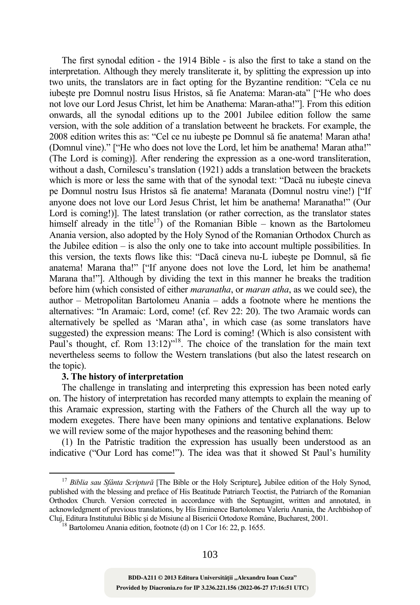The first synodal edition - the 1914 Bible - is also the first to take a stand on the interpretation. Although they merely transliterate it, by splitting the expression up into two units, the translators are in fact opting for the Byzantine rendition: "Cela ce nu iubeste pre Domnul nostru Iisus Hristos, să fie Anatema: Maran-ata" ["He who does not love our Lord Jesus Christ, let him be Anathema: Maran-atha!"]. From this edition onwards, all the synodal editions up to the 2001 Jubilee edition follow the same version, with the sole addition of a translation betweent he brackets. For example, the 2008 edition writes this as: "Cel ce nu iubește pe Domnul să fie anatema! Maran atha! (Domnul vine)." ["He who does not love the Lord, let him be anathema! Maran atha!" (The Lord is coming)]. After rendering the expression as a one-word transliteration, without a dash, Cornilescu's translation (1921) adds a translation between the brackets which is more or less the same with that of the synodal text: "Dacă nu iubește cineva pe Domnul nostru Isus Hristos să fie anatema! Maranata (Domnul nostru vine!) ["If anyone does not love our Lord Jesus Christ, let him be anathema! Maranatha!" (Our Lord is coming!)]. The latest translation (or rather correction, as the translator states himself already in the title<sup>17</sup>) of the Romanian Bible – known as the Bartolomeu Anania version, also adopted by the Holy Synod of the Romanian Orthodox Church as the Jubilee edition – is also the only one to take into account multiple possibilities. In this version, the texts flows like this: "Dacă cineva nu-L iubește pe Domnul, să fie anatema! Marana tha!" ["If anyone does not love the Lord, let him be anathema! Marana tha!"]. Although by dividing the text in this manner he breaks the tradition before him (which consisted of either *maranatha*, or *maran atha*, as we could see), the author – Metropolitan Bartolomeu Anania – adds a footnote where he mentions the alternatives: "In Aramaic: Lord, come! (cf. Rev 22: 20). The two Aramaic words can alternatively be spelled as 'Maran atha', in which case (as some translators have suggested) the expression means: The Lord is coming! (Which is also consistent with Paul's thought, cf. Rom 13:12)<sup>"18</sup>. The choice of the translation for the main text nevertheless seems to follow the Western translations (but also the latest research on the topic).

### **3. The history of interpretation**

The challenge in translating and interpreting this expression has been noted early on. The history of interpretation has recorded many attempts to explain the meaning of this Aramaic expression, starting with the Fathers of the Church all the way up to modern exegetes. There have been many opinions and tentative explanations. Below we will review some of the major hypotheses and the reasoning behind them:

(1) In the Patristic tradition the expression has usually been understood as an indicative ("Our Lord has come!"). The idea was that it showed St Paul's humility

 <sup>17</sup> *Biblia sau Sfânta Scriptur<sup>ă</sup>* [The Bible or the Holy Scripture]*,* Jubilee edition of the Holy Synod, published with the blessing and preface of His Beatitude Patriarch Teoctist, the Patriarch of the Romanian Orthodox Church. Version corrected in accordance with the Septuagint, written and annotated, in acknowledgment of previous translations, by His Eminence Bartolomeu Valeriu Anania, the Archbishop of Cluj, Editura Institutului Biblic şi de Misiune al Bisericii Ortodoxe Române, Bucharest, 2001. 18 Bartolomeu Anania edition, footnote (d) on 1 Cor 16: 22, p. 1655.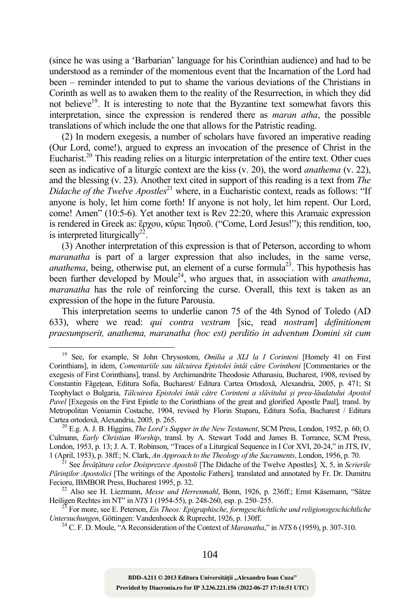(since he was using a 'Barbarian' language for his Corinthian audience) and had to be understood as a reminder of the momentous event that the Incarnation of the Lord had been – reminder intended to put to shame the various deviations of the Christians in Corinth as well as to awaken them to the reality of the Resurrection, in which they did not believe<sup>19</sup>. It is interesting to note that the Byzantine text somewhat favors this interpretation, since the expression is rendered there as *maran atha*, the possible translations of which include the one that allows for the Patristic reading.

(2) In modern exegesis, a number of scholars have favored an imperative reading (Our Lord, come!), argued to express an invocation of the presence of Christ in the Eucharist.<sup>20</sup> This reading relies on a liturgic interpretation of the entire text. Other cues seen as indicative of a liturgic context are the kiss (v. 20), the word *anathema* (v. 22), and the blessing (v. 23). Another text cited in support of this reading is a text from *The Didache of the Twelve Apostles*<sup>21</sup> where, in a Eucharistic context, reads as follows: "If anyone is holy, let him come forth! If anyone is not holy, let him repent. Our Lord, come! Amen" (10:5-6). Yet another text is Rev 22:20, where this Aramaic expression is rendered in Greek as: ἔρχου, κύριε Ἰησοῦ. ("Come, Lord Jesus!"); this rendition, too, is interpreted liturgically<sup>22</sup>.

(3) Another interpretation of this expression is that of Peterson, according to whom *maranatha* is part of a larger expression that also includes, in the same verse, *anathema*, being, otherwise put, an element of a curse formula<sup>23</sup>. This hypothesis has been further developed by Moule24, who argues that, in association with *anathema*, *maranatha* has the role of reinforcing the curse. Overall, this text is taken as an expression of the hope in the future Parousia.

This interpretation seems to underlie canon 75 of the 4th Synod of Toledo (AD 633), where we read: *qui contra vestram* [sic, read *nostram*] *definitionem praesumpserit, anathema, maranatha (hoc est) perditio in adventum Domini sit cum* 

 <sup>19</sup> See, for example, St John Chrysostom, *Omilia a XLI la I Corinteni* [Homely 41 on First Corinthians], in idem, *Comentariile sau tâlcuirea Epistolei întâi către Corintheni* [Commentaries or the exegesis of First Corinthians], transl. by Archimandrite Theodosie Athanasiu, Bucharest, 1908, revised by Constantin Făgețean, Editura Sofia, Bucharest/ Editura Cartea Ortodoxă, Alexandria, 2005, p. 471; St Teophylact o Bulgaria, *Tâlcuirea Epistolei întâi către Corinteni a slăvitului şi prea-lăudatului Apostol Pavel* [Exegesis on the First Epistle to the Corinthians of the great and glorified Apostle Paul]*,* transl. by Metropolitan Veniamin Costache, 1904, revised by Florin Stuparu, Editura Sofia, Bucharest / Editura

<sup>&</sup>lt;sup>20</sup> E.g. A. J. B. Higgins, *The Lord's Supper in the New Testament*, SCM Press, London, 1952, p. 60; O. Culmann, *Early Christian Worship*, transl. by A. Stewart Todd and James B. Torrance, SCM Press, London, 1953, p. 13; J. A. T. Robinson, "Traces of a Liturgical Sequence in I Cor XVI, 20-24," in JTS, IV, 1 (April, 1953), p. 38ff.; N. Clark, An Approach to the Theology of the Sacraments, London, 1956, p. 70.

See Învățătura celor Doisprezece Apostoli [The Didache of the Twelve Apostles], X, 5, in Scrierile *Părinţilor Apostolici* [The writings of the Apostolic Fathers]*,* translated and annotated by Fr. Dr. Dumitru

Fecioru, IBMBOR Press, Bucharest 1995, p. 32.<br><sup>22</sup> Also see H. Liezmann, *Messe und Herrenmahl*, Bonn, 1926, p. 236ff.; Ernst Käsemann, "Sätze Heiligen Rechtes im NT" in *NTS* 1 (1954-55), p. 248-260, esp. p. 250–255.

<sup>&</sup>lt;sup>23</sup> For more, see E. Peterson, *Eis Theos: Epigraphische, formgeschichtliche und religionsgeschichtliche Untersuchungen*, Göttingen: Vandenhoeck & Ruprecht, 1926, p. 130ff.

<sup>&</sup>lt;sup>24</sup> C. F. D. Moule, "A Reconsideration of the Context of *Maranatha*," in *NTS* 6 (1959), p. 307-310.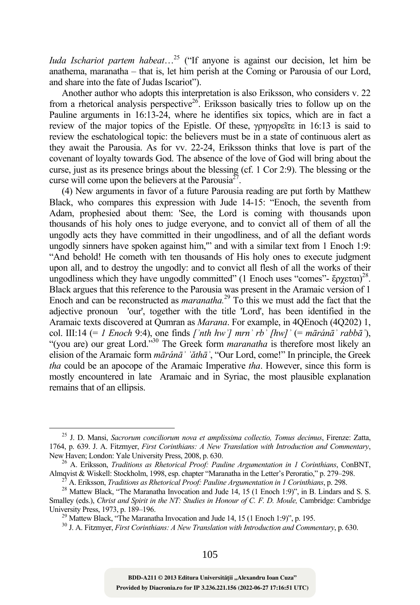*Iuda Ischariot partem habeat*…25 ("If anyone is against our decision, let him be anathema, maranatha – that is, let him perish at the Coming or Parousia of our Lord, and share into the fate of Judas Iscariot").

Another author who adopts this interpretation is also Eriksson, who considers v. 22 from a rhetorical analysis perspective<sup>26</sup>. Eriksson basically tries to follow up on the Pauline arguments in 16:13-24, where he identifies six topics, which are in fact a review of the major topics of the Epistle. Of these, γρηγορεῖτε in 16:13 is said to review the eschatological topic: the believers must be in a state of continuous alert as they await the Parousia. As for vv. 22-24, Eriksson thinks that love is part of the covenant of loyalty towards God. The absence of the love of God will bring about the curse, just as its presence brings about the blessing (cf. 1 Cor 2:9). The blessing or the curse will come upon the believers at the Parousia<sup>27</sup>.

(4) New arguments in favor of a future Parousia reading are put forth by Matthew Black, who compares this expression with Jude 14-15: "Enoch, the seventh from Adam, prophesied about them: 'See, the Lord is coming with thousands upon thousands of his holy ones to judge everyone, and to convict all of them of all the ungodly acts they have committed in their ungodliness, and of all the defiant words ungodly sinners have spoken against him," and with a similar text from 1 Enoch 1:9: "And behold! He cometh with ten thousands of His holy ones to execute judgment upon all, and to destroy the ungodly: and to convict all flesh of all the works of their ungodliness which they have ungodly committed" (1 Enoch uses "comes"- έρχεται)<sup>28</sup>. Black argues that this reference to the Parousia was present in the Aramaic version of 1 Enoch and can be reconstructed as *maranatha.*29 To this we must add the fact that the adjective pronoun 'our', together with the title 'Lord', has been identified in the Aramaic texts discovered at Qumran as *Marana*. For example, in 4QEnoch (4Q202) 1, col. III:14 (= *1 Enoch* 9:4), one finds  $\int$ <sup>*nth hw*<sup> $\prime$ </sup> *mrn*<sup> $\prime$ </sup> *rb*<sup> $\prime$ </sup>  $\int$ *hw* $\int$ <sup> $\prime$ </sup> (= *māránā* $\prime$  *rabbā* $\prime$ ),</sup> "(you are) our great Lord."30 The Greek form *maranatha* is therefore most likely an elision of the Aramaic form *māránāʾ ʾăthāʾ*, "Our Lord, come!" In principle, the Greek *tha* could be an apocope of the Aramaic Imperative *tha*. However, since this form is mostly encountered in late Aramaic and in Syriac, the most plausible explanation remains that of an ellipsis.

 <sup>25</sup> J. D. Mansi, *Sacrorum conciliorum nova et amplissima collectio, Tomus decimus*, Firenze: Zatta, 1764, p. 639. J. A. Fitzmyer, *First Corinthians: A New Translation with Introduction and Commentary*,

<sup>&</sup>lt;sup>26</sup> A. Eriksson, *Traditions as Rhetorical Proof: Pauline Argumentation in 1 Corinthians*, ConBNT, Almqvist & Wiskell: Stockholm, 1998, esp. chapter "Maranatha in the Letter's Peroratio." p. 279–298.

<sup>&</sup>lt;sup>27</sup> A. Eriksson, *Traditions as Rhetorical Proof: Pauline Argumentation in 1 Corinthians*, p. 298.<br><sup>28</sup> Mattew Black, "The Maranatha Invocation and Jude 14, 15 (1 Enoch 1:9)", in B. Lindars and S. S. Smalley (eds.), *Christ and Spirit in the NT: Studies in Honour of C. F. D. Moule*, *Cambridge: Cambridge* University Press, 1973, p. 189–196.

<sup>&</sup>lt;sup>29</sup> Mattew Black, "The Maranatha Invocation and Jude 14, 15 (1 Enoch 1:9)", p. 195.

<sup>30</sup> J. A. Fitzmyer, *First Corinthians: A New Translation with Introduction and Commentary*, p. 630.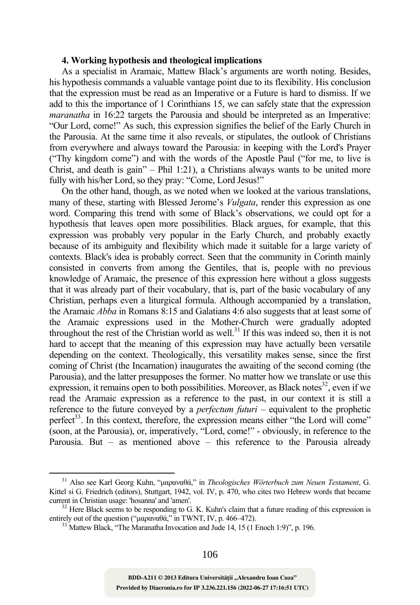### **4. Working hypothesis and theological implications**

As a specialist in Aramaic, Mattew Black's arguments are worth noting. Besides, his hypothesis commands a valuable vantage point due to its flexibility. His conclusion that the expression must be read as an Imperative or a Future is hard to dismiss. If we add to this the importance of 1 Corinthians 15, we can safely state that the expression *maranatha* in 16:22 targets the Parousia and should be interpreted as an Imperative: "Our Lord, come!" As such, this expression signifies the belief of the Early Church in the Parousia. At the same time it also reveals, or stipulates, the outlook of Christians from everywhere and always toward the Parousia: in keeping with the Lord's Prayer ("Thy kingdom come") and with the words of the Apostle Paul ("for me, to live is Christ, and death is gain" – Phil 1:21), a Christians always wants to be united more fully with his/her Lord, so they pray: "Come, Lord Jesus!"

On the other hand, though, as we noted when we looked at the various translations, many of these, starting with Blessed Jerome's *Vulgata*, render this expression as one word. Comparing this trend with some of Black's observations, we could opt for a hypothesis that leaves open more possibilities. Black argues, for example, that this expression was probably very popular in the Early Church, and probably exactly because of its ambiguity and flexibility which made it suitable for a large variety of contexts. Black's idea is probably correct. Seen that the community in Corinth mainly consisted in converts from among the Gentiles, that is, people with no previous knowledge of Aramaic, the presence of this expression here without a gloss suggests that it was already part of their vocabulary, that is, part of the basic vocabulary of any Christian, perhaps even a liturgical formula. Although accompanied by a translation, the Aramaic *Abba* in Romans 8:15 and Galatians 4:6 also suggests that at least some of the Aramaic expressions used in the Mother-Church were gradually adopted throughout the rest of the Christian world as well.<sup>31</sup> If this was indeed so, then it is not hard to accept that the meaning of this expression may have actually been versatile depending on the context. Theologically, this versatility makes sense, since the first coming of Christ (the Incarnation) inaugurates the awaiting of the second coming (the Parousia), and the latter presupposes the former. No matter how we translate or use this expression, it remains open to both possibilities. Moreover, as Black notes $32$ , even if we read the Aramaic expression as a reference to the past, in our context it is still a reference to the future conveyed by a *perfectum futuri* – equivalent to the prophetic perfect<sup>33</sup>. In this context, therefore, the expression means either "the Lord will come" (soon, at the Parousia), or, imperatively, "Lord, come!" - obviously, in reference to the Parousia. But – as mentioned above – this reference to the Parousia already

 <sup>31</sup> Also see Karl Georg Kuhn, "μαραναθά," in *Theologisches Wörterbuch zum Neuen Testament*, G. Kittel si G. Friedrich (editors), Stuttgart, 1942, vol. IV, p. 470, who cites two Hebrew words that became

current in Christian usage: 'hosanna' and 'amen'.<br><sup>32</sup> Here Black seems to be responding to G. K. Kuhn's claim that a future reading of this expression is entirely out of the question (" $\mu\alpha\rho\alpha\nu\alpha\theta\dot{\alpha}$ ," in TWNT, IV

 $^{33}$  Mattew Black, "The Maranatha Invocation and Jude 14, 15 (1 Enoch 1:9)", p. 196.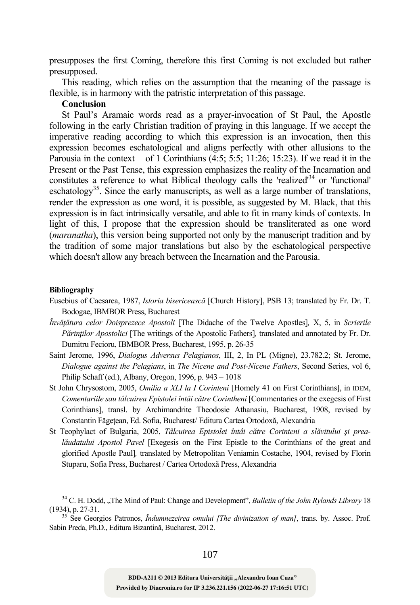presupposes the first Coming, therefore this first Coming is not excluded but rather presupposed.

This reading, which relies on the assumption that the meaning of the passage is flexible, is in harmony with the patristic interpretation of this passage.

# **Conclusion**

St Paul's Aramaic words read as a prayer-invocation of St Paul, the Apostle following in the early Christian tradition of praying in this language. If we accept the imperative reading according to which this expression is an invocation, then this expression becomes eschatological and aligns perfectly with other allusions to the Parousia in the context of 1 Corinthians  $(4:5; 5:5; 11:26; 15:23)$ . If we read it in the Present or the Past Tense, this expression emphasizes the reality of the Incarnation and constitutes a reference to what Biblical theology calls the 'realized'<sup>34</sup> or 'functional' eschatology<sup>35</sup>. Since the early manuscripts, as well as a large number of translations, render the expression as one word, it is possible, as suggested by M. Black, that this expression is in fact intrinsically versatile, and able to fit in many kinds of contexts. In light of this, I propose that the expression should be transliterated as one word (*maranatha*), this version being supported not only by the manuscript tradition and by the tradition of some major translations but also by the eschatological perspective which doesn't allow any breach between the Incarnation and the Parousia.

#### **Bibliography**

- Eusebius of Caesarea, 1987, *Istoria bisericească* [Church History], PSB 13; translated by Fr. Dr. T. Bodogae, IBMBOR Press, Bucharest
- *Învăţătura celor Doisprezece Apostoli* [The Didache of the Twelve Apostles]*,* X, 5, in *Scrierile Părinţilor Apostolici* [The writings of the Apostolic Fathers]*,* translated and annotated by Fr. Dr. Dumitru Fecioru, IBMBOR Press, Bucharest, 1995, p. 26-35
- Saint Jerome, 1996, *Dialogus Adversus Pelagianos*, III, 2, In PL (Migne), 23.782.2; St. Jerome, *Dialogue against the Pelagians*, in *The Nicene and Post-Nicene Fathers*, Second Series, vol 6, Philip Schaff (ed.), Albany, Oregon, 1996, p. 943 – 1018
- St John Chrysostom, 2005, *Omilia a XLI la I Corinteni* [Homely 41 on First Corinthians], in IDEM, *Comentariile sau tâlcuirea Epistolei întâi către Corintheni* [Commentaries or the exegesis of First Corinthians], transl. by Archimandrite Theodosie Athanasiu, Bucharest, 1908, revised by Constantin Făgeţean, Ed. Sofia, Bucharest/ Editura Cartea Ortodoxă, Alexandria
- St Teophylact of Bulgaria, 2005, *Tâlcuirea Epistolei întâi către Corinteni a slăvitului şi prealăudatului Apostol Pavel* [Exegesis on the First Epistle to the Corinthians of the great and glorified Apostle Paul]*,* translated by Metropolitan Veniamin Costache, 1904, revised by Florin Stuparu, Sofia Press, Bucharest / Cartea Ortodoxă Press, Alexandria

<sup>&</sup>lt;sup>34</sup> C. H. Dodd, "The Mind of Paul: Change and Development", *Bulletin of the John Rylands Library* 18 (1934), p. 27-31. 35 See Georgios Patronos, *Îndumnezeirea omului [The divinization of man]*, trans. by. Assoc. Prof.

Sabin Preda, Ph.D., Editura Bizantină, Bucharest, 2012.